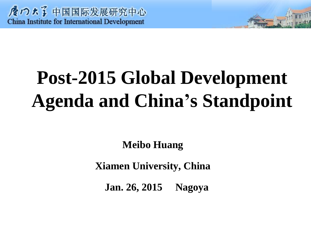# **Post-2015 Global Development Agenda and China's Standpoint**

**Meibo Huang** 

**Xiamen University, China**

 **Jan. 26, 2015 Nagoya**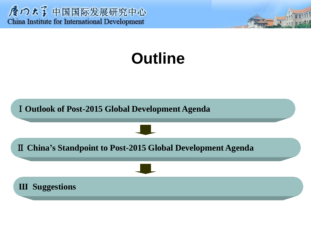

# **Outline**

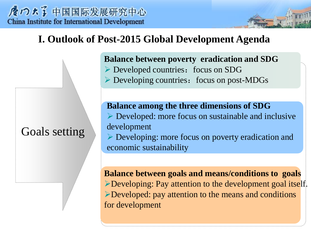☆ つょう 中国国际发展研究中心 **China Institute for International Development** 

# **I. Outlook of Post-2015 Global Development Agenda**

# Goals setting

**Balance between poverty eradication and SDG**  $\triangleright$  Developed countries: focus on SDG

 $\triangleright$  Developing countries: focus on post-MDGs

**Balance among the three dimensions of SDG**  $\triangleright$  Developed: more focus on sustainable and inclusive development Developing: more focus on poverty eradication and

economic sustainability

**Balance between goals and means/conditions to goals** Developing: Pay attention to the development goal itself. Developed: pay attention to the means and conditions for development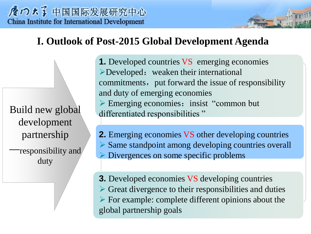☆ つょう 中国国际发展研究中心 **China Institute for International Development** 

# **I. Outlook of Post-2015 Global Development Agenda**

Build new global development partnership —responsibility and duty

**1.** Developed countries VS emerging economies  $\triangleright$  Developed: weaken their international commitments, put forward the issue of responsibility and duty of emerging economies  $\triangleright$  Emerging economies: insist "common but" differentiated responsibilities"

**2.** Emerging economies VS other developing countries  $\triangleright$  Same standpoint among developing countries overall Divergences on some specific problems

**3.** Developed economies VS developing countries  $\triangleright$  Great divergence to their responsibilities and duties  $\triangleright$  For example: complete different opinions about the global partnership goals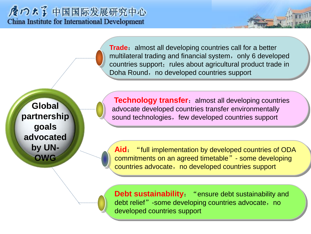**Trade**: almost all developing countries call for a better multilateral trading and financial system, only 6 developed countries support; rules about agricultural product trade in Doha Round, no developed countries support

**Global partnership goals advocated by UN-OWG**

**Technology transfer:** almost all developing countries advocate developed countries transfer environmentally sound technologies, few developed countries support

Aid: "full implementation by developed countries of ODA commitments on an agreed timetable" - some developing countries advocate, no developed countries support

**Debt sustainability**: "ensure debt sustainability and debt relief" -some developing countries advocate, no developed countries support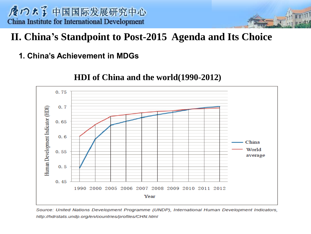# **II. China's Standpoint to Post-2015 Agenda and Its Choice**

#### **1. China's Achievement in MDGs**



#### **HDI of China and the world(1990-2012)**

Source: United Nations Development Programme (UNDP), International Human Development Indicators, http://hdrstats.undp.org/en/countries/profiles/CHN.html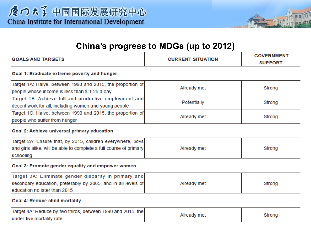

| <b>GOALS AND TARGETS</b>                                                                                                                              | <b>CURRENT SITUATION</b> | <b>GOVERNMENT</b><br><b>SUPPORT</b> |  |
|-------------------------------------------------------------------------------------------------------------------------------------------------------|--------------------------|-------------------------------------|--|
| Goal 1: Eradicate extreme poverty and hunger                                                                                                          |                          |                                     |  |
| Target 1A: Halve, between 1990 and 2015, the proportion of<br>people whose income is less than \$1.25 a day                                           | Already met              | Strong                              |  |
| Target 1B: Achieve full and productive employment and<br>decent work for all, including women and young people                                        | Potentially              | Strong                              |  |
| Target 1C: Halve, between 1990 and 2015, the proportion of<br>people who suffer from hunger                                                           | Already met              | Strong                              |  |
| Goal 2: Achieve universal primary education                                                                                                           |                          |                                     |  |
| Target 2A: Ensure that, by 2015, children everywhere, boys<br>and girls alike, will be able to complete a full course of primary<br>schooling         | Already met              | Strong                              |  |
| Goal 3: Promote gender equality and empower women                                                                                                     |                          |                                     |  |
| Target 3A: Eliminate gender disparity in primary and<br>secondary education, preferably by 2005, and in all levels of<br>education no later than 2015 | Already met              | Strong                              |  |
| Goal 4: Reduce child mortality                                                                                                                        |                          |                                     |  |
| Target 4A: Reduce by two thirds, between 1990 and 2015, the<br>under-five mortality rate                                                              | Already met              | Strong                              |  |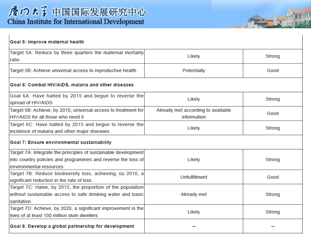| Goal 5: Improve maternal health                                                                                                                           |                                                   |        |  |
|-----------------------------------------------------------------------------------------------------------------------------------------------------------|---------------------------------------------------|--------|--|
| Target 5A: Reduce by three quarters the maternal mortality<br>ratio                                                                                       | Likely                                            | Strong |  |
| Target 5B: Achieve universal access to reproductive health                                                                                                | Potentially                                       | Good   |  |
| Goal 6: Combat HIV/AIDS, malaria and other diseases                                                                                                       |                                                   |        |  |
| Goal 6A: Have halted by 2015 and begun to reverse the<br>spread of HIV/AIDS                                                                               | Likely                                            | Strong |  |
| Target 6B: Achieve, by 2010, universal access to treatment for<br>HIV/AIDS for all those who need it                                                      | Already met according to available<br>information | Good   |  |
| Target 6C: Have halted by 2015 and begun to reverse the<br>incidence of malaria and other major diseases                                                  | Likely                                            | Strong |  |
| Goal 7: Ensure environmental sustainability                                                                                                               |                                                   |        |  |
| Target 7A: Integrate the principles of sustainable development<br>into country policies and programmes and reverse the loss of<br>environmental resources | Likely                                            | Strong |  |
| Target 7B: Reduce biodiversity loss, achieving, by 2010, a<br>significant reduction in the rate of loss                                                   | Unfulfillment                                     | Good   |  |
| Target 7C: Halve, by 2015, the proportion of the population<br>without sustainable access to safe drinking water and basic<br>sanitation                  | Already met                                       | Strong |  |
| Target 7D: Achieve, by 2020, a significant improvement in the<br>lives of at least 100 million slum dwellers                                              | Likely                                            | Strong |  |
| Goal 8: Develop a global partnership for development                                                                                                      |                                                   |        |  |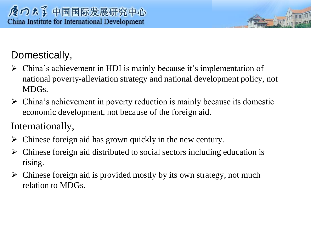# Domestically,

- $\triangleright$  China's achievement in HDI is mainly because it's implementation of national poverty-alleviation strategy and national development policy, not MDGs.
- $\triangleright$  China's achievement in poverty reduction is mainly because its domestic economic development, not because of the foreign aid.

Internationally,

- $\triangleright$  Chinese foreign aid has grown quickly in the new century.
- $\triangleright$  Chinese foreign aid distributed to social sectors including education is rising.
- $\triangleright$  Chinese foreign aid is provided mostly by its own strategy, not much relation to MDGs.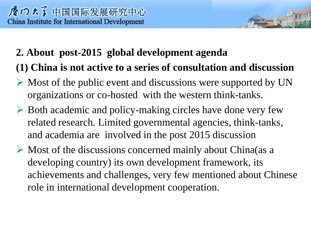# **2. About post-2015 global development agenda**

**(1) China is not active to a series of consultation and discussion**

- $\triangleright$  Most of the public event and discussions were supported by UN organizations or co-hosted with the western think-tanks.
- $\triangleright$  Both academic and policy-making circles have done very few related research. Limited governmental agencies, think-tanks, and academia are involved in the post 2015 discussion
- $\triangleright$  Most of the discussions concerned mainly about China(as a developing country) its own development framework, its achievements and challenges, very few mentioned about Chinese role in international development cooperation.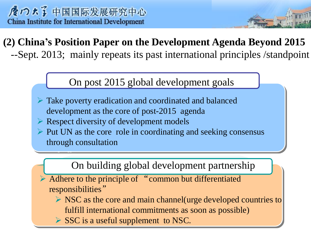- --

# **(2) China's Position Paper on the Development Agenda Beyond 2015** --Sept. 2013; mainly repeats its past international principles /standpoint

## On post 2015 global development goals

- Take poverty eradication and coordinated and balanced development as the core of post-2015 agenda
- $\triangleright$  Respect diversity of development models
- $\triangleright$  Put UN as the core role in coordinating and seeking consensus through consultation

### On building global development partnership

- Adhere to the principle of "common but differentiated responsibilities"
	- $\triangleright$  NSC as the core and main channel (urge developed countries to fulfill international commitments as soon as possible)
	- $\triangleright$  SSC is a useful supplement to NSC.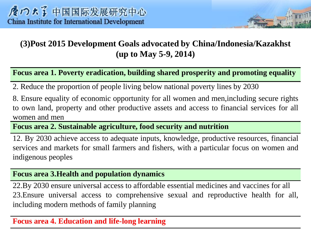#### **(3)Post 2015 Development Goals advocated by China/Indonesia/Kazakhst (up to May 5-9, 2014)**

#### **Focus area 1. Poverty eradication, building shared prosperity and promoting equality**

2. Reduce the proportion of people living below national poverty lines by 2030

8. Ensure equality of economic opportunity for all women and men,including secure rights to own land, property and other productive assets and access to financial services for all women and men

**Focus area 2. Sustainable agriculture, food security and nutrition**

12. By 2030 achieve access to adequate inputs, knowledge, productive resources, financial services and markets for small farmers and fishers, with a particular focus on women and indigenous peoples

#### **Focus area 3.Health and population dynamics**

22.By 2030 ensure universal access to affordable essential medicines and vaccines for all 23.Ensure universal access to comprehensive sexual and reproductive health for all, including modern methods of family planning

#### **Focus area 4. Education and life-long learning**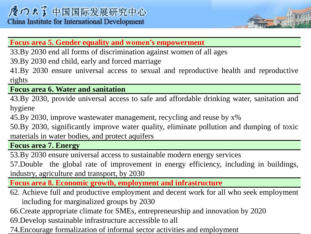#### **Focus area 5. Gender equality and women's empowerment**

33.By 2030 end all forms of discrimination against women of all ages

39.By 2030 end child, early and forced marriage

41.By 2030 ensure universal access to sexual and reproductive health and reproductive rights

**Focus area 6. Water and sanitation**

43.By 2030, provide universal access to safe and affordable drinking water, sanitation and hygiene

45.By 2030, improve wastewater management, recycling and reuse by x%

50.By 2030, significantly improve water quality, eliminate pollution and dumping of toxic materials in water bodies, and protect aquifers

**Focus area 7. Energy**

53.By 2030 ensure universal access to sustainable modern energy services

57.Double the global rate of improvement in energy efficiency, including in buildings, industry, agriculture and transport, by 2030

**Focus area 8. Economic growth, employment and infrastructure**

62. Achieve full and productive employment and decent work for all who seek employment including for marginalized groups by 2030

66.Create appropriate climate for SMEs, entrepreneurship and innovation by 2020

69.Develop sustainable infrastructure accessible to all

74.Encourage formalization of informal sector activities and employment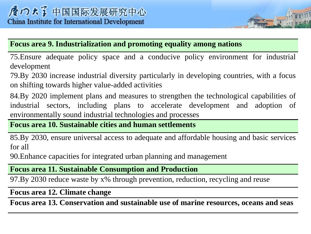#### **Focus area 9. Industrialization and promoting equality among nations**

75.Ensure adequate policy space and a conducive policy environment for industrial development

79.By 2030 increase industrial diversity particularly in developing countries, with a focus on shifting towards higher value-added activities

84.By 2020 implement plans and measures to strengthen the technological capabilities of industrial sectors, including plans to accelerate development and adoption of environmentally sound industrial technologies and processes

#### **Focus area 10. Sustainable cities and human settlements**

85.By 2030, ensure universal access to adequate and affordable housing and basic services for all

90.Enhance capacities for integrated urban planning and management

#### **Focus area 11. Sustainable Consumption and Production**

97.By 2030 reduce waste by x% through prevention, reduction, recycling and reuse

**Focus area 12. Climate change**

**Focus area 13. Conservation and sustainable use of marine resources, oceans and seas**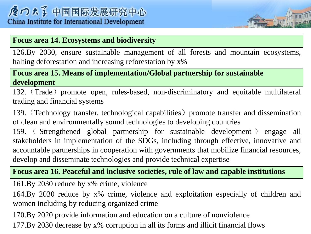#### **Focus area 14. Ecosystems and biodiversity**

126.By 2030, ensure sustainable management of all forests and mountain ecosystems, halting deforestation and increasing reforestation by x%

#### **Focus area 15. Means of implementation/Global partnership for sustainable development**

132. (Trade) promote open, rules-based, non-discriminatory and equitable multilateral trading and financial systems

139. (Technology transfer, technological capabilities) promote transfer and dissemination of clean and environmentally sound technologies to developing countries

159. ( Strengthened global partnership for sustainable development ) engage all stakeholders in implementation of the SDGs, including through effective, innovative and accountable partnerships in cooperation with governments that mobilize financial resources, develop and disseminate technologies and provide technical expertise

#### **Focus area 16. Peaceful and inclusive societies, rule of law and capable institutions**

161.By 2030 reduce by x% crime, violence

164.By 2030 reduce by x% crime, violence and exploitation especially of children and women including by reducing organized crime

170.By 2020 provide information and education on a culture of nonviolence 177.By 2030 decrease by x% corruption in all its forms and illicit financial flows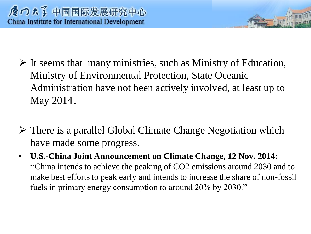- $\triangleright$  It seems that many ministries, such as Ministry of Education, Ministry of Environmental Protection, State Oceanic Administration have not been actively involved, at least up to May 2014。
- $\triangleright$  There is a parallel Global Climate Change Negotiation which have made some progress.
- **U.S.-China Joint Announcement on Climate Change, 12 Nov. 2014: "**China intends to achieve the peaking of CO2 emissions around 2030 and to make best efforts to peak early and intends to increase the share of non-fossil fuels in primary energy consumption to around 20% by 2030."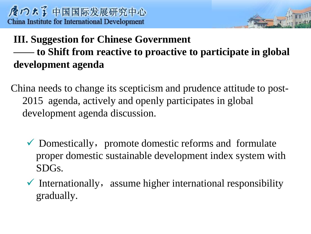# **III. Suggestion for Chinese Government —— to Shift from reactive to proactive to participate in global development agenda**

- China needs to change its scepticism and prudence attitude to post-2015 agenda, actively and openly participates in global development agenda discussion.
	- $\checkmark$  Domestically, promote domestic reforms and formulate proper domestic sustainable development index system with SDGs.
	- $\checkmark$  Internationally, assume higher international responsibility gradually.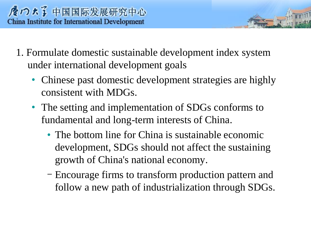- 1. Formulate domestic sustainable development index system under international development goals
	- Chinese past domestic development strategies are highly consistent with MDGs.
	- The setting and implementation of SDGs conforms to fundamental and long-term interests of China.
		- The bottom line for China is sustainable economic development, SDGs should not affect the sustaining growth of China's national economy.
		- Encourage firms to transform production pattern and follow a new path of industrialization through SDGs.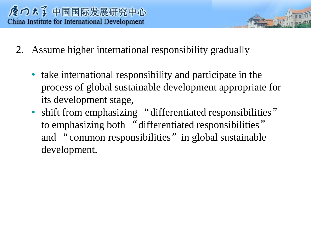- 2. Assume higher international responsibility gradually
	- take international responsibility and participate in the process of global sustainable development appropriate for its development stage,
	- shift from emphasizing "differentiated responsibilities" to emphasizing both "differentiated responsibilities" and "common responsibilities" in global sustainable development.